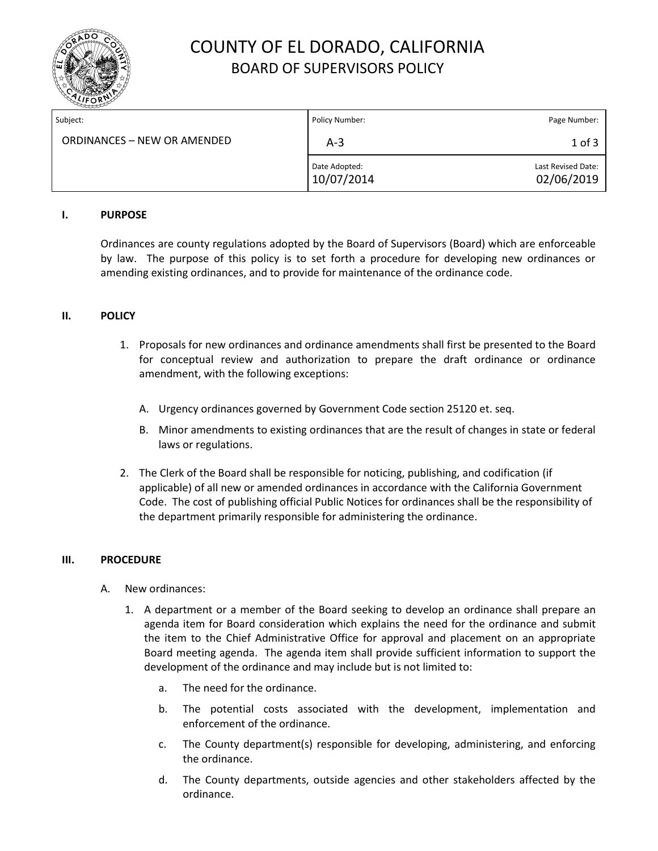

## COUNTY OF EL DORADO, CALIFORNIA BOARD OF SUPERVISORS POLICY

| Subject:                    | Policy Number:              | Page Number:                     |
|-----------------------------|-----------------------------|----------------------------------|
| ORDINANCES – NEW OR AMENDED | $A-3$                       | $1$ of $3$                       |
|                             | Date Adopted:<br>10/07/2014 | Last Revised Date:<br>02/06/2019 |

#### **I. PURPOSE**

Ordinances are county regulations adopted by the Board of Supervisors (Board) which are enforceable by law. The purpose of this policy is to set forth a procedure for developing new ordinances or amending existing ordinances, and to provide for maintenance of the ordinance code.

### **II. POLICY**

- 1. Proposals for new ordinances and ordinance amendments shall first be presented to the Board for conceptual review and authorization to prepare the draft ordinance or ordinance amendment, with the following exceptions:
	- A. Urgency ordinances governed by Government Code section 25120 et. seq.
	- B. Minor amendments to existing ordinances that are the result of changes in state or federal laws or regulations.
- 2. The Clerk of the Board shall be responsible for noticing, publishing, and codification (if applicable) of all new or amended ordinances in accordance with the California Government Code. The cost of publishing official Public Notices for ordinances shall be the responsibility of the department primarily responsible for administering the ordinance.

#### **III. PROCEDURE**

- A. New ordinances:
	- 1. A department or a member of the Board seeking to develop an ordinance shall prepare an agenda item for Board consideration which explains the need for the ordinance and submit the item to the Chief Administrative Office for approval and placement on an appropriate Board meeting agenda. The agenda item shall provide sufficient information to support the development of the ordinance and may include but is not limited to:
		- a. The need for the ordinance.
		- b. The potential costs associated with the development, implementation and enforcement of the ordinance.
		- c. The County department(s) responsible for developing, administering, and enforcing the ordinance.
		- d. The County departments, outside agencies and other stakeholders affected by the ordinance.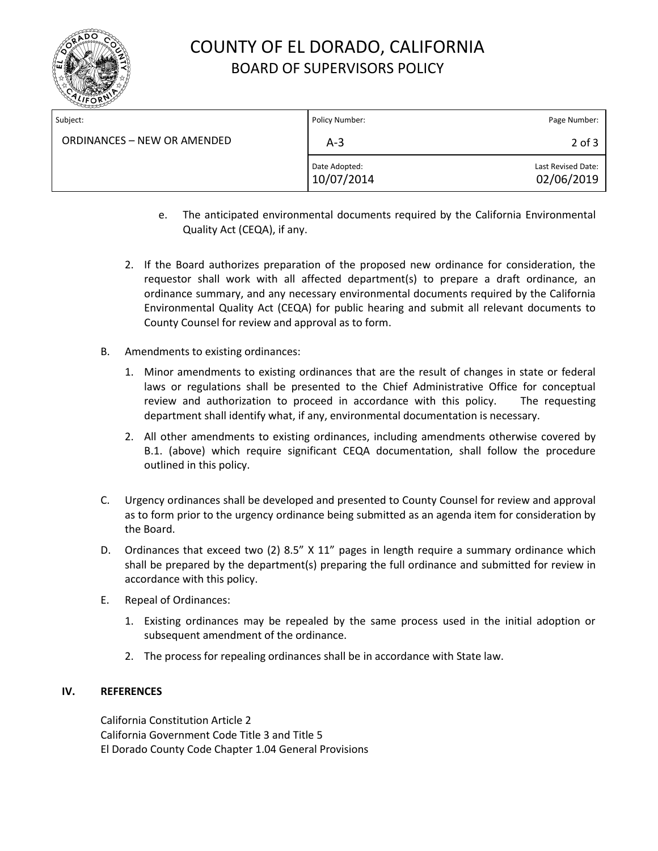

# COUNTY OF EL DORADO, CALIFORNIA BOARD OF SUPERVISORS POLICY

| Subject:                    | Policy Number:              | Page Number:                     |
|-----------------------------|-----------------------------|----------------------------------|
| ORDINANCES - NEW OR AMENDED | $A-3$                       | $2$ of $3$                       |
|                             | Date Adopted:<br>10/07/2014 | Last Revised Date:<br>02/06/2019 |

- e. The anticipated environmental documents required by the California Environmental Quality Act (CEQA), if any.
- 2. If the Board authorizes preparation of the proposed new ordinance for consideration, the requestor shall work with all affected department(s) to prepare a draft ordinance, an ordinance summary, and any necessary environmental documents required by the California Environmental Quality Act (CEQA) for public hearing and submit all relevant documents to County Counsel for review and approval as to form.
- B. Amendments to existing ordinances:
	- 1. Minor amendments to existing ordinances that are the result of changes in state or federal laws or regulations shall be presented to the Chief Administrative Office for conceptual review and authorization to proceed in accordance with this policy. The requesting department shall identify what, if any, environmental documentation is necessary.
	- 2. All other amendments to existing ordinances, including amendments otherwise covered by B.1. (above) which require significant CEQA documentation, shall follow the procedure outlined in this policy.
- C. Urgency ordinances shall be developed and presented to County Counsel for review and approval as to form prior to the urgency ordinance being submitted as an agenda item for consideration by the Board.
- D. Ordinances that exceed two (2) 8.5" X 11" pages in length require a summary ordinance which shall be prepared by the department(s) preparing the full ordinance and submitted for review in accordance with this policy.
- E. Repeal of Ordinances:
	- 1. Existing ordinances may be repealed by the same process used in the initial adoption or subsequent amendment of the ordinance.
	- 2. The process for repealing ordinances shall be in accordance with State law.

### **IV. REFERENCES**

California Constitution Article 2 California Government Code Title 3 and Title 5 El Dorado County Code Chapter 1.04 General Provisions